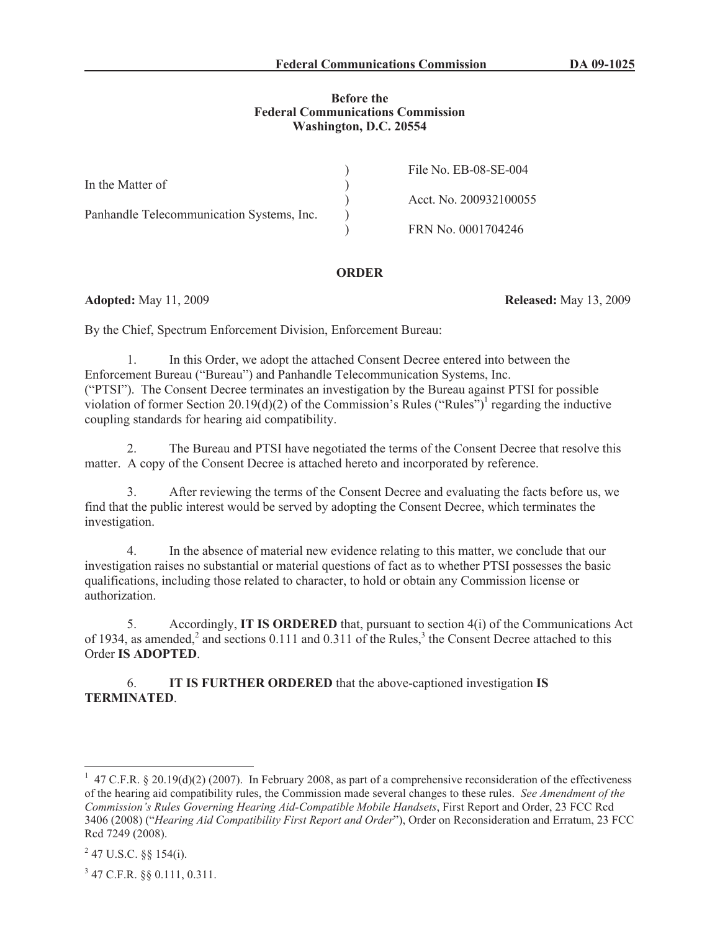### **Before the Federal Communications Commission Washington, D.C. 20554**

|                                           | File No. EB-08-SE-004  |
|-------------------------------------------|------------------------|
| In the Matter of                          |                        |
|                                           | Acct. No. 200932100055 |
| Panhandle Telecommunication Systems, Inc. |                        |
|                                           | FRN No. 0001704246     |

### **ORDER**

**Adopted:** May 11, 2009 **Released:** May 13, 2009

By the Chief, Spectrum Enforcement Division, Enforcement Bureau:

1. In this Order, we adopt the attached Consent Decree entered into between the Enforcement Bureau ("Bureau") and Panhandle Telecommunication Systems, Inc. ("PTSI"). The Consent Decree terminates an investigation by the Bureau against PTSI for possible violation of former Section 20.19(d)(2) of the Commission's Rules ("Rules")<sup>1</sup> regarding the inductive coupling standards for hearing aid compatibility.

2. The Bureau and PTSI have negotiated the terms of the Consent Decree that resolve this matter. A copy of the Consent Decree is attached hereto and incorporated by reference.

3. After reviewing the terms of the Consent Decree and evaluating the facts before us, we find that the public interest would be served by adopting the Consent Decree, which terminates the investigation.

4. In the absence of material new evidence relating to this matter, we conclude that our investigation raises no substantial or material questions of fact as to whether PTSI possesses the basic qualifications, including those related to character, to hold or obtain any Commission license or authorization.

5. Accordingly, **IT IS ORDERED** that, pursuant to section 4(i) of the Communications Act of 1934, as amended,<sup>2</sup> and sections 0.111 and 0.311 of the Rules,<sup>3</sup> the Consent Decree attached to this Order **IS ADOPTED**.

6. **IT IS FURTHER ORDERED** that the above-captioned investigation **IS TERMINATED**.

3 47 C.F.R. §§ 0.111, 0.311.

<sup>&</sup>lt;sup>1</sup> 47 C.F.R. § 20.19(d)(2) (2007). In February 2008, as part of a comprehensive reconsideration of the effectiveness of the hearing aid compatibility rules, the Commission made several changes to these rules. *See Amendment of the Commission's Rules Governing Hearing Aid-Compatible Mobile Handsets*, First Report and Order, 23 FCC Rcd 3406 (2008) ("*Hearing Aid Compatibility First Report and Order*"), Order on Reconsideration and Erratum, 23 FCC Rcd 7249 (2008).

 $^{2}$  47 U.S.C. §§ 154(i).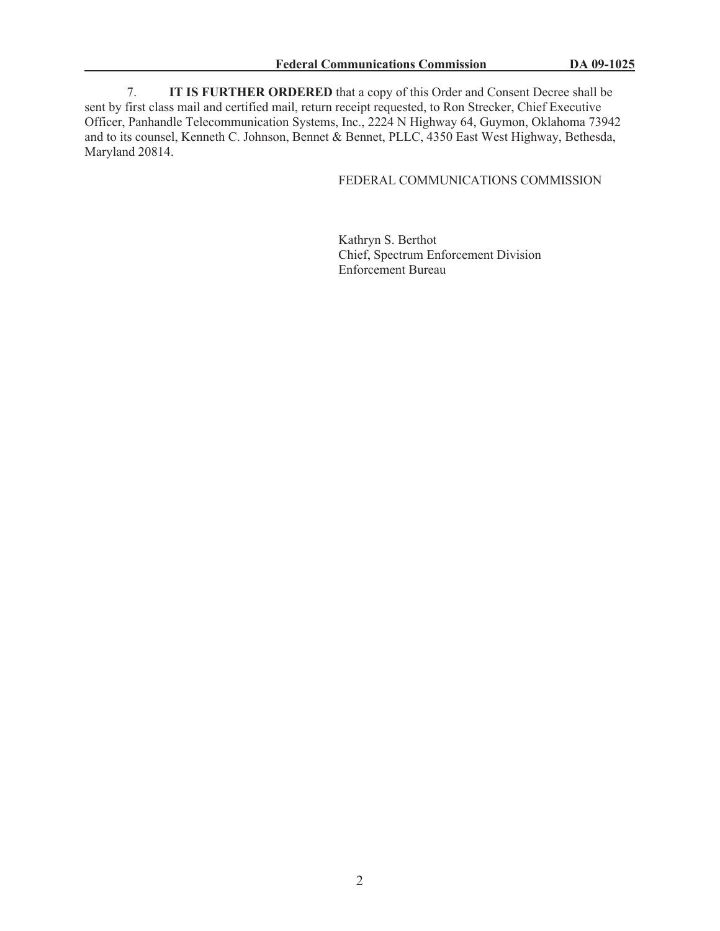7. **IT IS FURTHER ORDERED** that a copy of this Order and Consent Decree shall be sent by first class mail and certified mail, return receipt requested, to Ron Strecker, Chief Executive Officer, Panhandle Telecommunication Systems, Inc., 2224 N Highway 64, Guymon, Oklahoma 73942 and to its counsel, Kenneth C. Johnson, Bennet & Bennet, PLLC, 4350 East West Highway, Bethesda, Maryland 20814.

## FEDERAL COMMUNICATIONS COMMISSION

Kathryn S. Berthot Chief, Spectrum Enforcement Division Enforcement Bureau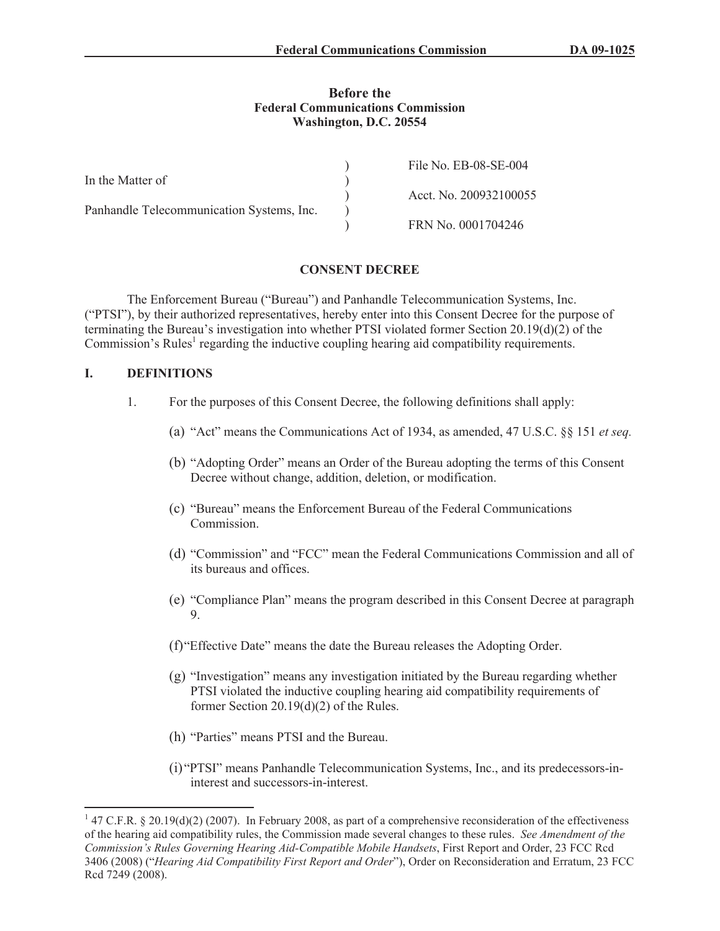### **Before the Federal Communications Commission Washington, D.C. 20554**

|                                           | File No. EB-08-SE-004  |
|-------------------------------------------|------------------------|
| In the Matter of                          |                        |
|                                           | Acct. No. 200932100055 |
| Panhandle Telecommunication Systems, Inc. |                        |
|                                           | FRN No. 0001704246     |

## **CONSENT DECREE**

The Enforcement Bureau ("Bureau") and Panhandle Telecommunication Systems, Inc. ("PTSI"), by their authorized representatives, hereby enter into this Consent Decree for the purpose of terminating the Bureau's investigation into whether PTSI violated former Section 20.19(d)(2) of the Commission's Rules<sup>1</sup> regarding the inductive coupling hearing aid compatibility requirements.

### **I. DEFINITIONS**

- 1. For the purposes of this Consent Decree, the following definitions shall apply:
	- (a) "Act" means the Communications Act of 1934, as amended, 47 U.S.C. §§ 151 *et seq.*
	- (b) "Adopting Order" means an Order of the Bureau adopting the terms of this Consent Decree without change, addition, deletion, or modification.
	- (c) "Bureau" means the Enforcement Bureau of the Federal Communications Commission.
	- (d) "Commission" and "FCC" mean the Federal Communications Commission and all of its bureaus and offices.
	- (e) "Compliance Plan" means the program described in this Consent Decree at paragraph 9.
	- (f)"Effective Date" means the date the Bureau releases the Adopting Order.
	- (g) "Investigation" means any investigation initiated by the Bureau regarding whether PTSI violated the inductive coupling hearing aid compatibility requirements of former Section 20.19(d)(2) of the Rules.
	- (h) "Parties" means PTSI and the Bureau.
	- (i) "PTSI" means Panhandle Telecommunication Systems, Inc., and its predecessors-ininterest and successors-in-interest.

 $147$  C.F.R. § 20.19(d)(2) (2007). In February 2008, as part of a comprehensive reconsideration of the effectiveness of the hearing aid compatibility rules, the Commission made several changes to these rules. *See Amendment of the Commission's Rules Governing Hearing Aid-Compatible Mobile Handsets*, First Report and Order, 23 FCC Rcd 3406 (2008) ("*Hearing Aid Compatibility First Report and Order*"), Order on Reconsideration and Erratum, 23 FCC Rcd 7249 (2008).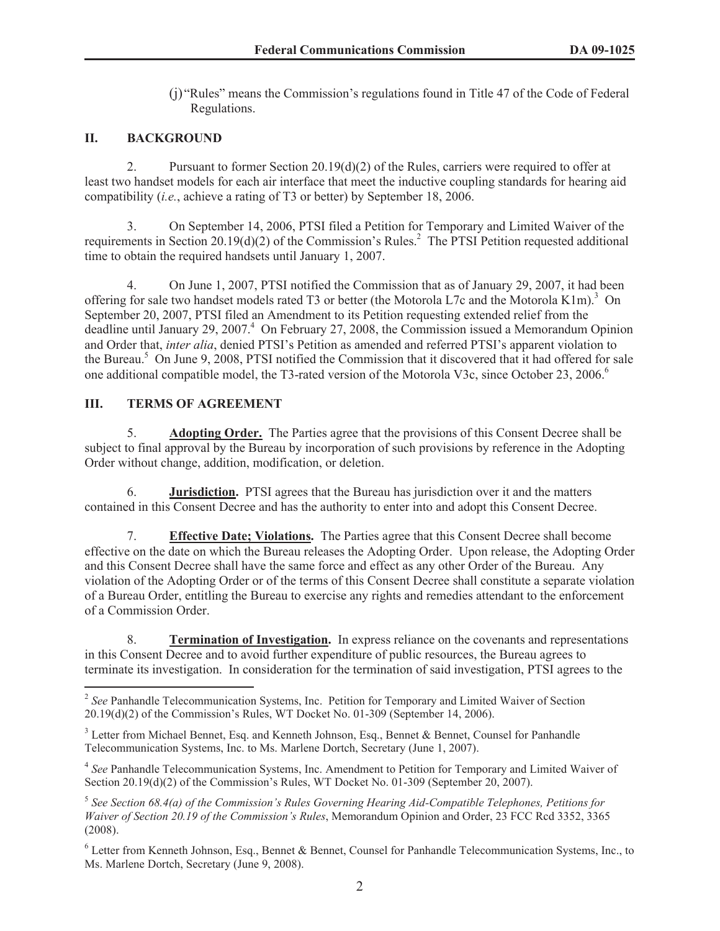(j) "Rules" means the Commission's regulations found in Title 47 of the Code of Federal Regulations.

# **II. BACKGROUND**

2. Pursuant to former Section 20.19(d)(2) of the Rules, carriers were required to offer at least two handset models for each air interface that meet the inductive coupling standards for hearing aid compatibility (*i.e.*, achieve a rating of T3 or better) by September 18, 2006.

3. On September 14, 2006, PTSI filed a Petition for Temporary and Limited Waiver of the requirements in Section 20.19(d)(2) of the Commission's Rules.<sup>2</sup> The PTSI Petition requested additional time to obtain the required handsets until January 1, 2007.

4. On June 1, 2007, PTSI notified the Commission that as of January 29, 2007, it had been offering for sale two handset models rated T3 or better (the Motorola L7c and the Motorola K1m).<sup>3</sup> On September 20, 2007, PTSI filed an Amendment to its Petition requesting extended relief from the deadline until January 29, 2007.<sup>4</sup> On February 27, 2008, the Commission issued a Memorandum Opinion and Order that, *inter alia*, denied PTSI's Petition as amended and referred PTSI's apparent violation to the Bureau. <sup>5</sup> On June 9, 2008, PTSI notified the Commission that it discovered that it had offered for sale one additional compatible model, the T3-rated version of the Motorola V3c, since October 23, 2006.<sup>6</sup>

# **III. TERMS OF AGREEMENT**

5. **Adopting Order.** The Parties agree that the provisions of this Consent Decree shall be subject to final approval by the Bureau by incorporation of such provisions by reference in the Adopting Order without change, addition, modification, or deletion.

6. **Jurisdiction.** PTSI agrees that the Bureau has jurisdiction over it and the matters contained in this Consent Decree and has the authority to enter into and adopt this Consent Decree.

7. **Effective Date; Violations.** The Parties agree that this Consent Decree shall become effective on the date on which the Bureau releases the Adopting Order. Upon release, the Adopting Order and this Consent Decree shall have the same force and effect as any other Order of the Bureau. Any violation of the Adopting Order or of the terms of this Consent Decree shall constitute a separate violation of a Bureau Order, entitling the Bureau to exercise any rights and remedies attendant to the enforcement of a Commission Order.

8. **Termination of Investigation.** In express reliance on the covenants and representations in this Consent Decree and to avoid further expenditure of public resources, the Bureau agrees to terminate its investigation. In consideration for the termination of said investigation, PTSI agrees to the

<sup>4</sup> See Panhandle Telecommunication Systems, Inc. Amendment to Petition for Temporary and Limited Waiver of Section 20.19(d)(2) of the Commission's Rules, WT Docket No. 01-309 (September 20, 2007).

<sup>6</sup> Letter from Kenneth Johnson, Esq., Bennet & Bennet, Counsel for Panhandle Telecommunication Systems, Inc., to Ms. Marlene Dortch, Secretary (June 9, 2008).

<sup>&</sup>lt;sup>2</sup> See Panhandle Telecommunication Systems, Inc. Petition for Temporary and Limited Waiver of Section 20.19(d)(2) of the Commission's Rules, WT Docket No. 01-309 (September 14, 2006).

<sup>&</sup>lt;sup>3</sup> Letter from Michael Bennet, Esq. and Kenneth Johnson, Esq., Bennet & Bennet, Counsel for Panhandle Telecommunication Systems, Inc. to Ms. Marlene Dortch, Secretary (June 1, 2007).

<sup>5</sup> *See Section 68.4(a) of the Commission's Rules Governing Hearing Aid-Compatible Telephones, Petitions for Waiver of Section 20.19 of the Commission's Rules*, Memorandum Opinion and Order, 23 FCC Rcd 3352, 3365 (2008).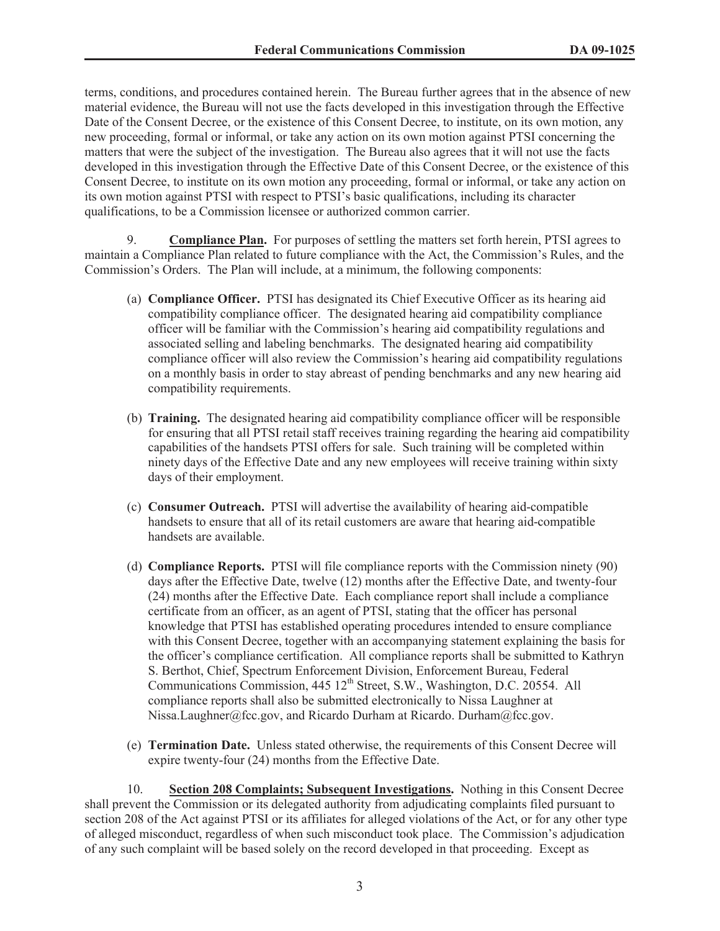terms, conditions, and procedures contained herein. The Bureau further agrees that in the absence of new material evidence, the Bureau will not use the facts developed in this investigation through the Effective Date of the Consent Decree, or the existence of this Consent Decree, to institute, on its own motion, any new proceeding, formal or informal, or take any action on its own motion against PTSI concerning the matters that were the subject of the investigation. The Bureau also agrees that it will not use the facts developed in this investigation through the Effective Date of this Consent Decree, or the existence of this Consent Decree, to institute on its own motion any proceeding, formal or informal, or take any action on its own motion against PTSI with respect to PTSI's basic qualifications, including its character qualifications, to be a Commission licensee or authorized common carrier.

9. **Compliance Plan.** For purposes of settling the matters set forth herein, PTSI agrees to maintain a Compliance Plan related to future compliance with the Act, the Commission's Rules, and the Commission's Orders. The Plan will include, at a minimum, the following components:

- (a) **Compliance Officer.** PTSI has designated its Chief Executive Officer as its hearing aid compatibility compliance officer. The designated hearing aid compatibility compliance officer will be familiar with the Commission's hearing aid compatibility regulations and associated selling and labeling benchmarks. The designated hearing aid compatibility compliance officer will also review the Commission's hearing aid compatibility regulations on a monthly basis in order to stay abreast of pending benchmarks and any new hearing aid compatibility requirements.
- (b) **Training.** The designated hearing aid compatibility compliance officer will be responsible for ensuring that all PTSI retail staff receives training regarding the hearing aid compatibility capabilities of the handsets PTSI offers for sale. Such training will be completed within ninety days of the Effective Date and any new employees will receive training within sixty days of their employment.
- (c) **Consumer Outreach.** PTSI will advertise the availability of hearing aid-compatible handsets to ensure that all of its retail customers are aware that hearing aid-compatible handsets are available.
- (d) **Compliance Reports.** PTSI will file compliance reports with the Commission ninety (90) days after the Effective Date, twelve (12) months after the Effective Date, and twenty-four (24) months after the Effective Date. Each compliance report shall include a compliance certificate from an officer, as an agent of PTSI, stating that the officer has personal knowledge that PTSI has established operating procedures intended to ensure compliance with this Consent Decree, together with an accompanying statement explaining the basis for the officer's compliance certification. All compliance reports shall be submitted to Kathryn S. Berthot, Chief, Spectrum Enforcement Division, Enforcement Bureau, Federal Communications Commission, 445 12<sup>th</sup> Street, S.W., Washington, D.C. 20554. All compliance reports shall also be submitted electronically to Nissa Laughner at Nissa.Laughner@fcc.gov, and Ricardo Durham at Ricardo. Durham@fcc.gov.
- (e) **Termination Date.** Unless stated otherwise, the requirements of this Consent Decree will expire twenty-four (24) months from the Effective Date.

10. **Section 208 Complaints; Subsequent Investigations.** Nothing in this Consent Decree shall prevent the Commission or its delegated authority from adjudicating complaints filed pursuant to section 208 of the Act against PTSI or its affiliates for alleged violations of the Act, or for any other type of alleged misconduct, regardless of when such misconduct took place. The Commission's adjudication of any such complaint will be based solely on the record developed in that proceeding. Except as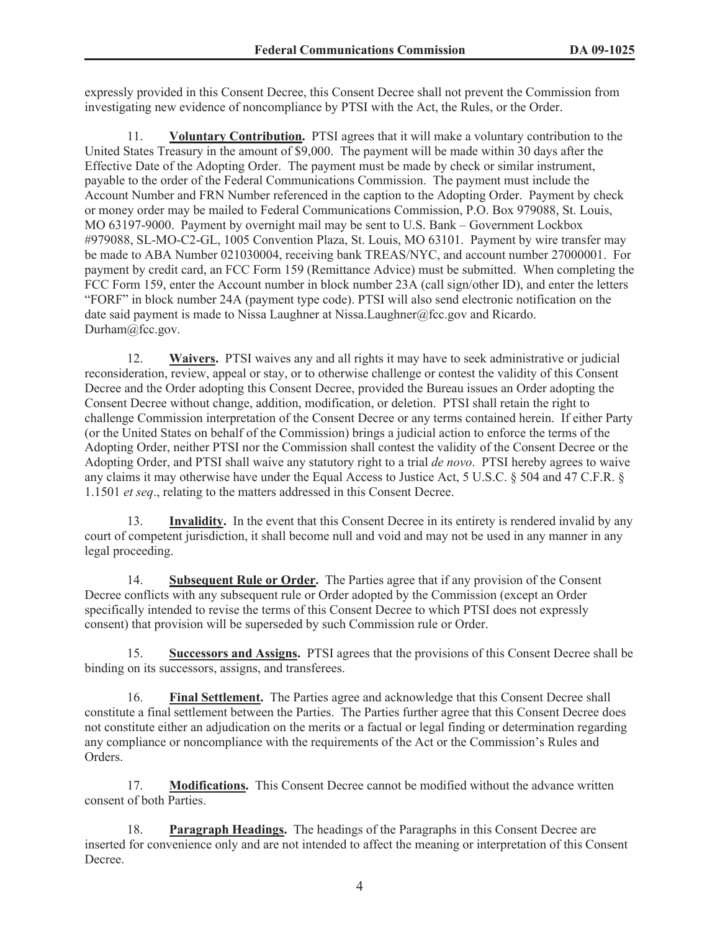expressly provided in this Consent Decree, this Consent Decree shall not prevent the Commission from investigating new evidence of noncompliance by PTSI with the Act, the Rules, or the Order.

11. **Voluntary Contribution.** PTSI agrees that it will make a voluntary contribution to the United States Treasury in the amount of \$9,000. The payment will be made within 30 days after the Effective Date of the Adopting Order. The payment must be made by check or similar instrument, payable to the order of the Federal Communications Commission. The payment must include the Account Number and FRN Number referenced in the caption to the Adopting Order. Payment by check or money order may be mailed to Federal Communications Commission, P.O. Box 979088, St. Louis, MO 63197-9000. Payment by overnight mail may be sent to U.S. Bank – Government Lockbox #979088, SL-MO-C2-GL, 1005 Convention Plaza, St. Louis, MO 63101. Payment by wire transfer may be made to ABA Number 021030004, receiving bank TREAS/NYC, and account number 27000001. For payment by credit card, an FCC Form 159 (Remittance Advice) must be submitted. When completing the FCC Form 159, enter the Account number in block number 23A (call sign/other ID), and enter the letters "FORF" in block number 24A (payment type code). PTSI will also send electronic notification on the date said payment is made to Nissa Laughner at Nissa.Laughner@fcc.gov and Ricardo. Durham@fcc.gov.

12. **Waivers.** PTSI waives any and all rights it may have to seek administrative or judicial reconsideration, review, appeal or stay, or to otherwise challenge or contest the validity of this Consent Decree and the Order adopting this Consent Decree, provided the Bureau issues an Order adopting the Consent Decree without change, addition, modification, or deletion. PTSI shall retain the right to challenge Commission interpretation of the Consent Decree or any terms contained herein. If either Party (or the United States on behalf of the Commission) brings a judicial action to enforce the terms of the Adopting Order, neither PTSI nor the Commission shall contest the validity of the Consent Decree or the Adopting Order, and PTSI shall waive any statutory right to a trial *de novo*. PTSI hereby agrees to waive any claims it may otherwise have under the Equal Access to Justice Act, 5 U.S.C. § 504 and 47 C.F.R. § 1.1501 *et seq*., relating to the matters addressed in this Consent Decree.

13. **Invalidity.** In the event that this Consent Decree in its entirety is rendered invalid by any court of competent jurisdiction, it shall become null and void and may not be used in any manner in any legal proceeding.

14. **Subsequent Rule or Order.** The Parties agree that if any provision of the Consent Decree conflicts with any subsequent rule or Order adopted by the Commission (except an Order specifically intended to revise the terms of this Consent Decree to which PTSI does not expressly consent) that provision will be superseded by such Commission rule or Order.

15. **Successors and Assigns.** PTSI agrees that the provisions of this Consent Decree shall be binding on its successors, assigns, and transferees.

16. **Final Settlement.** The Parties agree and acknowledge that this Consent Decree shall constitute a final settlement between the Parties. The Parties further agree that this Consent Decree does not constitute either an adjudication on the merits or a factual or legal finding or determination regarding any compliance or noncompliance with the requirements of the Act or the Commission's Rules and Orders.

17. **Modifications.** This Consent Decree cannot be modified without the advance written consent of both Parties.

18. **Paragraph Headings.** The headings of the Paragraphs in this Consent Decree are inserted for convenience only and are not intended to affect the meaning or interpretation of this Consent Decree.